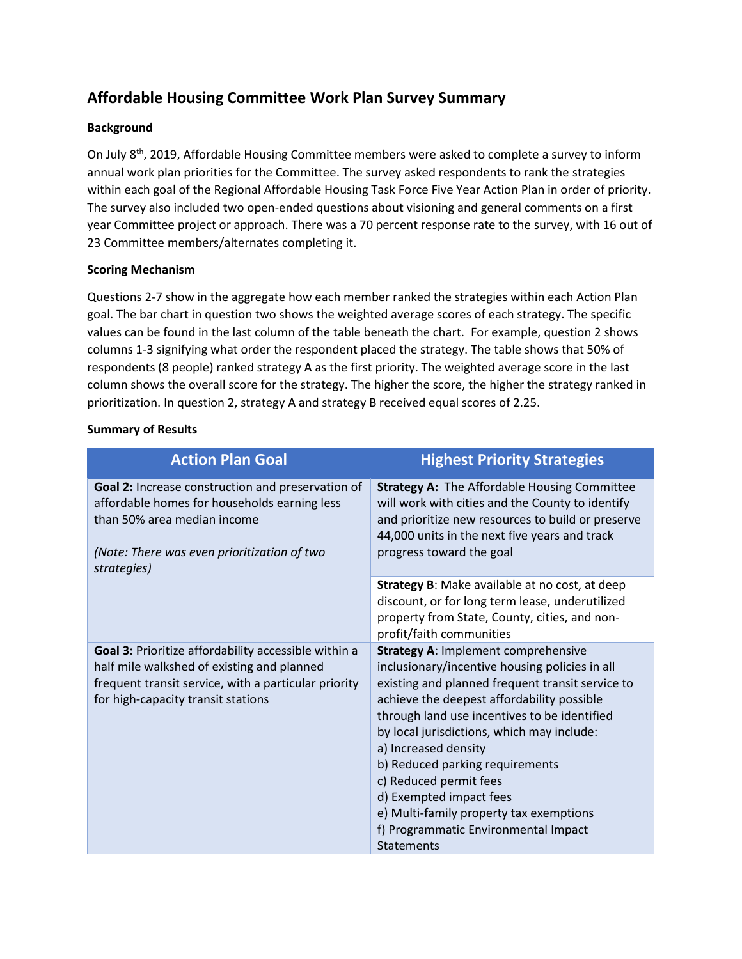## **Affordable Housing Committee Work Plan Survey Summary**

## **Background**

On July 8th, 2019, Affordable Housing Committee members were asked to complete a survey to inform annual work plan priorities for the Committee. The survey asked respondents to rank the strategies within each goal of the Regional Affordable Housing Task Force Five Year Action Plan in order of priority. The survey also included two open-ended questions about visioning and general comments on a first year Committee project or approach. There was a 70 percent response rate to the survey, with 16 out of 23 Committee members/alternates completing it.

## **Scoring Mechanism**

Questions 2-7 show in the aggregate how each member ranked the strategies within each Action Plan goal. The bar chart in question two shows the weighted average scores of each strategy. The specific values can be found in the last column of the table beneath the chart. For example, question 2 shows columns 1-3 signifying what order the respondent placed the strategy. The table shows that 50% of respondents (8 people) ranked strategy A as the first priority. The weighted average score in the last column shows the overall score for the strategy. The higher the score, the higher the strategy ranked in prioritization. In question 2, strategy A and strategy B received equal scores of 2.25.

## **Summary of Results**

| <b>Action Plan Goal</b>                                                                                                                                                                          | <b>Highest Priority Strategies</b>                                                                                                                                                                                                                                                                                                                                                                                                                                                                                   |
|--------------------------------------------------------------------------------------------------------------------------------------------------------------------------------------------------|----------------------------------------------------------------------------------------------------------------------------------------------------------------------------------------------------------------------------------------------------------------------------------------------------------------------------------------------------------------------------------------------------------------------------------------------------------------------------------------------------------------------|
|                                                                                                                                                                                                  |                                                                                                                                                                                                                                                                                                                                                                                                                                                                                                                      |
| Goal 2: Increase construction and preservation of<br>affordable homes for households earning less<br>than 50% area median income<br>(Note: There was even prioritization of two<br>strategies)   | <b>Strategy A: The Affordable Housing Committee</b><br>will work with cities and the County to identify<br>and prioritize new resources to build or preserve<br>44,000 units in the next five years and track<br>progress toward the goal                                                                                                                                                                                                                                                                            |
|                                                                                                                                                                                                  | Strategy B: Make available at no cost, at deep<br>discount, or for long term lease, underutilized<br>property from State, County, cities, and non-<br>profit/faith communities                                                                                                                                                                                                                                                                                                                                       |
| Goal 3: Prioritize affordability accessible within a<br>half mile walkshed of existing and planned<br>frequent transit service, with a particular priority<br>for high-capacity transit stations | <b>Strategy A: Implement comprehensive</b><br>inclusionary/incentive housing policies in all<br>existing and planned frequent transit service to<br>achieve the deepest affordability possible<br>through land use incentives to be identified<br>by local jurisdictions, which may include:<br>a) Increased density<br>b) Reduced parking requirements<br>c) Reduced permit fees<br>d) Exempted impact fees<br>e) Multi-family property tax exemptions<br>f) Programmatic Environmental Impact<br><b>Statements</b> |